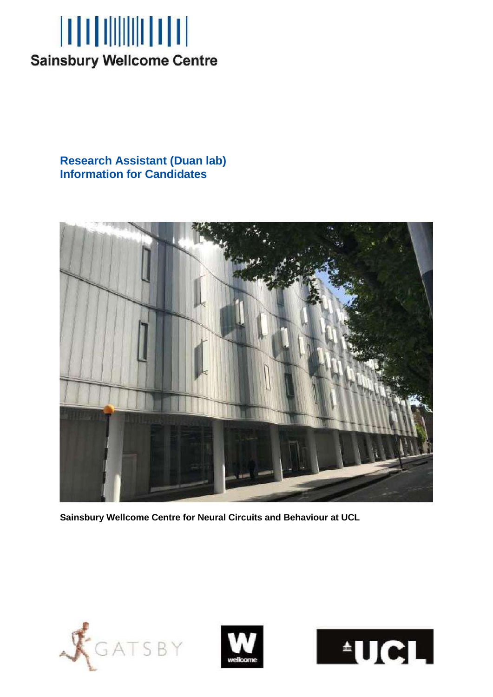

**Research Assistant (Duan lab) Information for Candidates**



**Sainsbury Wellcome Centre for Neural Circuits and Behaviour at UCL**





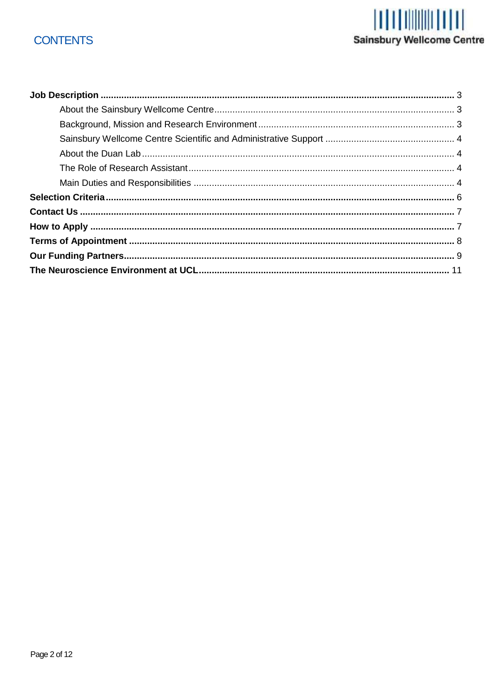# **CONTENTS**

# Sainsbury Wellcome Centre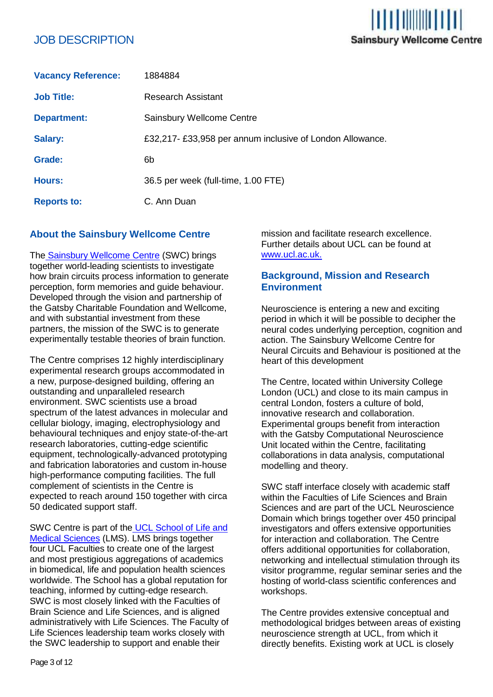# JOB DESCRIPTION

| <b>Vacancy Reference:</b> | 1884884                                                  |
|---------------------------|----------------------------------------------------------|
| <b>Job Title:</b>         | <b>Research Assistant</b>                                |
| <b>Department:</b>        | Sainsbury Wellcome Centre                                |
| <b>Salary:</b>            | £32,217-£33,958 per annum inclusive of London Allowance. |
| Grade:                    | 6b                                                       |
| <b>Hours:</b>             | 36.5 per week (full-time, 1.00 FTE)                      |
| <b>Reports to:</b>        | C. Ann Duan                                              |

# **About the Sainsbury Wellcome Centre**

The Sainsbury Wellcome Centre (SWC) brings together world-leading scientists to investigate how brain circuits process information to generate perception, form memories and guide behaviour. Developed through the vision and partnership of the Gatsby Charitable Foundation and Wellcome, and with substantial investment from these partners, the mission of the SWC is to generate experimentally testable theories of brain function.

The Centre comprises 12 highly interdisciplinary experimental research groups accommodated in a new, purpose-designed building, offering an outstanding and unparalleled research environment. SWC scientists use a broad spectrum of the latest advances in molecular and cellular biology, imaging, electrophysiology and behavioural techniques and enjoy state-of-the-art research laboratories, cutting-edge scientific equipment, technologically-advanced prototyping and fabrication laboratories and custom in-house high-performance computing facilities. The full complement of scientists in the Centre is expected to reach around 150 together with circa 50 dedicated support staff.

SWC Centre is part of the UCL School of Life and Medical Sciences (LMS). LMS brings together four UCL Faculties to create one of the largest and most prestigious aggregations of academics in biomedical, life and population health sciences worldwide. The School has a global reputation for teaching, informed by cutting-edge research. SWC is most closely linked with the Faculties of Brain Science and Life Sciences, and is aligned administratively with Life Sciences. The Faculty of Life Sciences leadership team works closely with the SWC leadership to support and enable their

mission and facilitate research excellence. Further details about UCL can be found at [www.ucl.ac.uk.](http://www.ucl.ac.uk/)

in mililimin n

**Sainsbury Wellcome Centre** 

# **Background, Mission and Research Environment**

Neuroscience is entering a new and exciting period in which it will be possible to decipher the neural codes underlying perception, cognition and action. The Sainsbury Wellcome Centre for Neural Circuits and Behaviour is positioned at the heart of this development

The Centre, located within University College London (UCL) and close to its main campus in central London, fosters a culture of bold, innovative research and collaboration. Experimental groups benefit from interaction with the Gatsby Computational Neuroscience Unit located within the Centre, facilitating collaborations in data analysis, computational modelling and theory.

SWC staff interface closely with academic staff within the Faculties of Life Sciences and Brain Sciences and are part of the UCL Neuroscience Domain which brings together over 450 principal investigators and offers extensive opportunities for interaction and collaboration. The Centre offers additional opportunities for collaboration, networking and intellectual stimulation through its visitor programme, regular seminar series and the hosting of world-class scientific conferences and workshops.

The Centre provides extensive conceptual and methodological bridges between areas of existing neuroscience strength at UCL, from which it directly benefits. Existing work at UCL is closely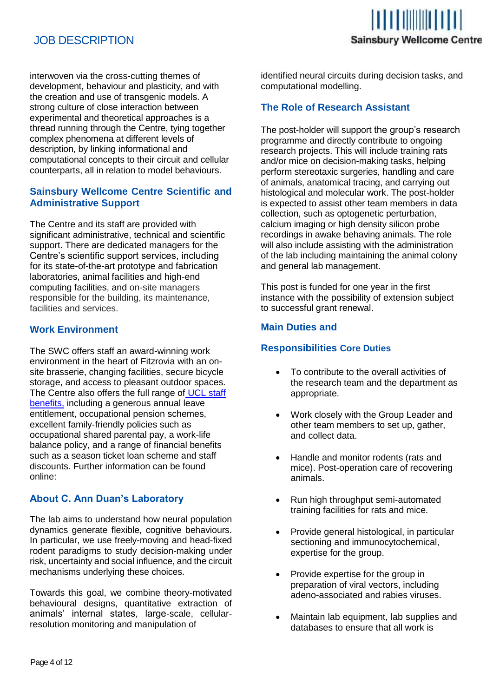# JOB DESCRIPTION



interwoven via the cross-cutting themes of development, behaviour and plasticity, and with the creation and use of transgenic models. A strong culture of close interaction between experimental and theoretical approaches is a thread running through the Centre, tying together complex phenomena at different levels of description, by linking informational and computational concepts to their circuit and cellular counterparts, all in relation to model behaviours.

# **Sainsbury Wellcome Centre Scientific and Administrative Support**

The Centre and its staff are provided with significant administrative, technical and scientific support. There are dedicated managers for the Centre's scientific support services, including for its state-of-the-art prototype and fabrication laboratories, animal facilities and high-end computing facilities, and on-site managers responsible for the building, its maintenance, facilities and services.

# **Work Environment**

The SWC offers staff an award-winning work environment in the heart of Fitzrovia with an onsite brasserie, changing facilities, secure bicycle storage, and access to pleasant outdoor spaces. The Centre also offers the full range of UCL staff benefits, including a generous annual leave entitlement, occupational pension schemes, excellent family-friendly policies such as occupational shared parental pay, a work-life balance policy, and a range of financial benefits such as a season ticket loan scheme and staff discounts. Further information can be found online:

# **About C. Ann Duan's Laboratory**

The lab aims to understand how neural population dynamics generate flexible, cognitive behaviours. In particular, we use freely-moving and head-fixed rodent paradigms to study decision-making under risk, uncertainty and social influence, and the circuit mechanisms underlying these choices.

Towards this goal, we combine theory-motivated behavioural designs, quantitative extraction of animals' internal states, large-scale, cellularresolution monitoring and manipulation of

identified neural circuits during decision tasks, and computational modelling.

## **The Role of Research Assistant**

The post-holder will support the group's research programme and directly contribute to ongoing research projects. This will include training rats and/or mice on decision-making tasks, helping perform stereotaxic surgeries, handling and care of animals, anatomical tracing, and carrying out histological and molecular work. The post-holder is expected to assist other team members in data collection, such as optogenetic perturbation, calcium imaging or high density silicon probe recordings in awake behaving animals. The role will also include assisting with the administration of the lab including maintaining the animal colony and general lab management.

This post is funded for one year in the first instance with the possibility of extension subject to successful grant renewal.

## **Main Duties and**

#### **Responsibilities Core Duties**

- To contribute to the overall activities of the research team and the department as appropriate.
- Work closely with the Group Leader and other team members to set up, gather, and collect data.
- Handle and monitor rodents (rats and mice). Post-operation care of recovering animals.
- Run high throughput semi-automated training facilities for rats and mice.
- Provide general histological, in particular sectioning and immunocytochemical, expertise for the group.
- Provide expertise for the group in preparation of viral vectors, including adeno-associated and rabies viruses.
- Maintain lab equipment, lab supplies and databases to ensure that all work is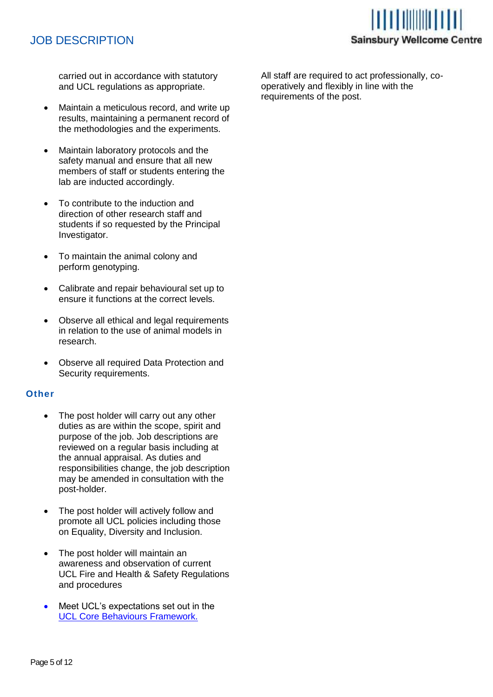# JOB DESCRIPTION



carried out in accordance with statutory and UCL regulations as appropriate.

- Maintain a meticulous record, and write up results, maintaining a permanent record of the methodologies and the experiments.
- Maintain laboratory protocols and the safety manual and ensure that all new members of staff or students entering the lab are inducted accordingly.
- To contribute to the induction and direction of other research staff and students if so requested by the Principal Investigator.
- To maintain the animal colony and perform genotyping.
- Calibrate and repair behavioural set up to ensure it functions at the correct levels.
- Observe all ethical and legal requirements in relation to the use of animal models in research.
- Observe all required Data Protection and Security requirements.

#### **Other**

- The post holder will carry out any other duties as are within the scope, spirit and purpose of the job. Job descriptions are reviewed on a regular basis including at the annual appraisal. As duties and responsibilities change, the job description may be amended in consultation with the post-holder.
- The post holder will actively follow and promote all UCL policies including those on Equality, Diversity and Inclusion.
- The post holder will maintain an awareness and observation of current UCL Fire and Health & Safety Regulations and procedures
- Meet UCL's expectations set out in the UCL Core Behaviours Framework.

All staff are required to act professionally, cooperatively and flexibly in line with the requirements of the post.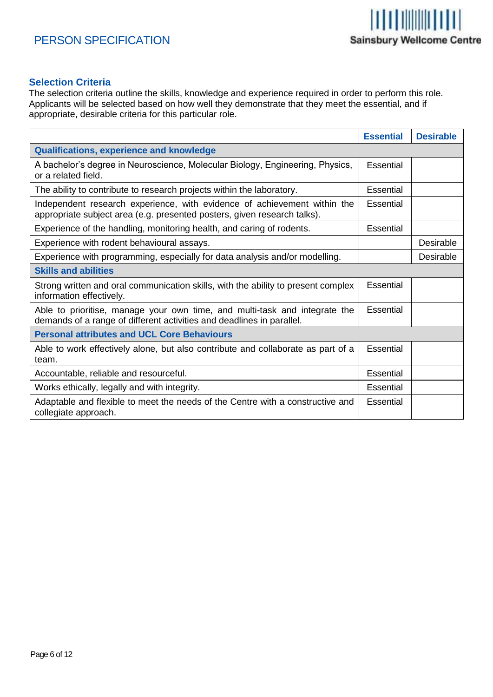

# **Selection Criteria**

The selection criteria outline the skills, knowledge and experience required in order to perform this role. Applicants will be selected based on how well they demonstrate that they meet the essential, and if appropriate, desirable criteria for this particular role.

|                                                                                                                                                      | <b>Essential</b> | <b>Desirable</b> |  |  |
|------------------------------------------------------------------------------------------------------------------------------------------------------|------------------|------------------|--|--|
| <b>Qualifications, experience and knowledge</b>                                                                                                      |                  |                  |  |  |
| A bachelor's degree in Neuroscience, Molecular Biology, Engineering, Physics,<br>or a related field.                                                 | <b>Essential</b> |                  |  |  |
| The ability to contribute to research projects within the laboratory.                                                                                | Essential        |                  |  |  |
| Independent research experience, with evidence of achievement within the<br>appropriate subject area (e.g. presented posters, given research talks). | Essential        |                  |  |  |
| Experience of the handling, monitoring health, and caring of rodents.                                                                                | <b>Essential</b> |                  |  |  |
| Experience with rodent behavioural assays.                                                                                                           |                  | <b>Desirable</b> |  |  |
| Experience with programming, especially for data analysis and/or modelling.                                                                          |                  | Desirable        |  |  |
| <b>Skills and abilities</b>                                                                                                                          |                  |                  |  |  |
| Strong written and oral communication skills, with the ability to present complex<br>information effectively.                                        | Essential        |                  |  |  |
| Able to prioritise, manage your own time, and multi-task and integrate the<br>demands of a range of different activities and deadlines in parallel.  | <b>Essential</b> |                  |  |  |
| <b>Personal attributes and UCL Core Behaviours</b>                                                                                                   |                  |                  |  |  |
| Able to work effectively alone, but also contribute and collaborate as part of a<br>team.                                                            | Essential        |                  |  |  |
| Accountable, reliable and resourceful.                                                                                                               | Essential        |                  |  |  |
| Works ethically, legally and with integrity.                                                                                                         | <b>Essential</b> |                  |  |  |
| Adaptable and flexible to meet the needs of the Centre with a constructive and<br>collegiate approach.                                               | Essential        |                  |  |  |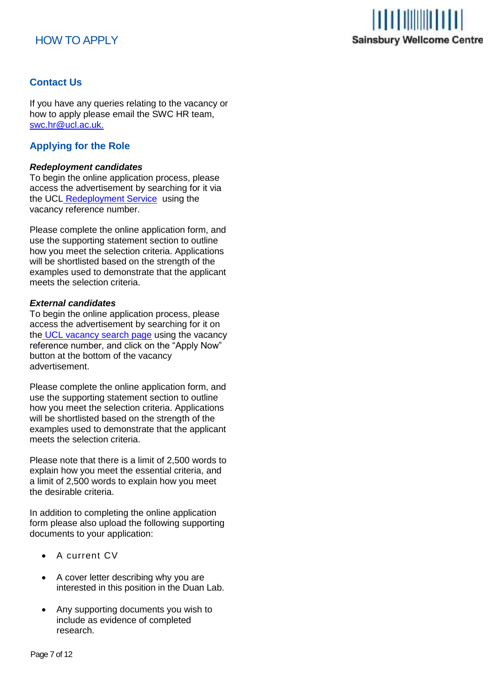# HOW TO APPLY



# **Contact Us**

If you have any queries relating to the vacancy or how to apply please email the SWC HR team, [swc.hr@ucl.ac.uk.](mailto:swc.hr@ucl.ac.uk)

# **Applying for the Role**

#### *Redeployment candidates*

To begin the online application process, please access the advertisement by searching for it via the UCL Redeployment Service using the vacancy reference number.

Please complete the online application form, and use the supporting statement section to outline how you meet the selection criteria. Applications will be shortlisted based on the strength of the examples used to demonstrate that the applicant meets the selection criteria.

#### *External candidates*

To begin the online application process, please access the advertisement by searching for it on the UCL vacancy search page using the vacancy reference number, and click on the "Apply Now" button at the bottom of the vacancy advertisement.

Please complete the online application form, and use the supporting statement section to outline how you meet the selection criteria. Applications will be shortlisted based on the strength of the examples used to demonstrate that the applicant meets the selection criteria.

Please note that there is a limit of 2,500 words to explain how you meet the essential criteria, and a limit of 2,500 words to explain how you meet the desirable criteria.

In addition to completing the online application form please also upload the following supporting documents to your application:

- A current CV
- A cover letter describing why you are interested in this position in the Duan Lab.
- Any supporting documents you wish to include as evidence of completed research.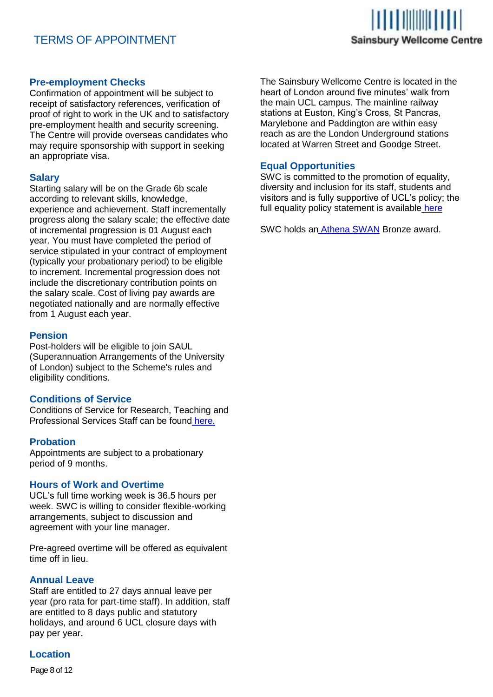# TERMS OF APPOINTMENT



#### **Pre-employment Checks**

Confirmation of appointment will be subject to receipt of satisfactory references, verification of proof of right to work in the UK and to satisfactory pre-employment health and security screening. The Centre will provide overseas candidates who may require sponsorship with support in seeking an appropriate visa.

## **Salary**

Starting salary will be on the Grade 6b scale according to relevant skills, knowledge, experience and achievement. Staff incrementally progress along the salary scale; the effective date of incremental progression is 01 August each year. You must have completed the period of service stipulated in your contract of employment (typically your probationary period) to be eligible to increment. Incremental progression does not include the discretionary contribution points on the salary scale. Cost of living pay awards are negotiated nationally and are normally effective from 1 August each year.

#### **Pension**

Post-holders will be eligible to join SAUL (Superannuation Arrangements of the University of London) subject to the Scheme's rules and eligibility conditions.

#### **Conditions of Service**

Conditions of Service for Research, Teaching and Professional Services Staff can be found here.

#### **Probation**

Appointments are subject to a probationary period of 9 months.

#### **Hours of Work and Overtime**

UCL's full time working week is 36.5 hours per week. SWC is willing to consider flexible-working arrangements, subject to discussion and agreement with your line manager.

Pre-agreed overtime will be offered as equivalent time off in lieu.

#### **Annual Leave**

Staff are entitled to 27 days annual leave per year (pro rata for part-time staff). In addition, staff are entitled to 8 days public and statutory holidays, and around 6 UCL closure days with pay per year.

# **Location**

Page 8 of 12

The Sainsbury Wellcome Centre is located in the heart of London around five minutes' walk from the main UCL campus. The mainline railway stations at Euston, King's Cross, St Pancras, Marylebone and Paddington are within easy reach as are the London Underground stations located at Warren Street and Goodge Street.

#### **Equal Opportunities**

SWC is committed to the promotion of equality, diversity and inclusion for its staff, students and visitors and is fully supportive of UCL's policy; the full equality policy statement is available here

SWC holds an Athena SWAN Bronze award.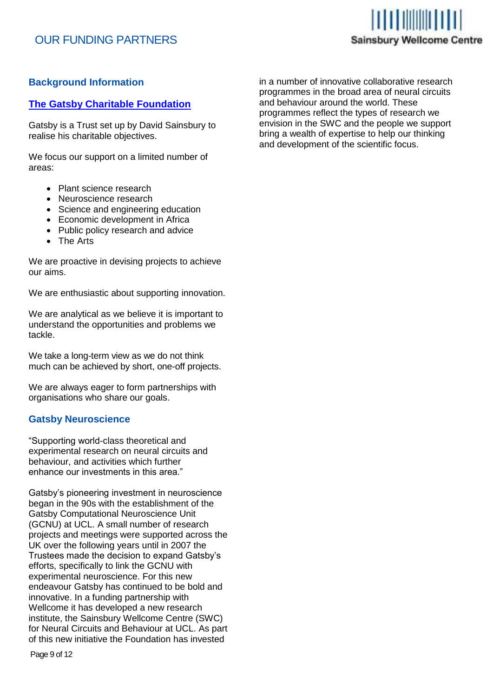# OUR FUNDING PARTNERS



# **Background Information**

# **The Gatsby Charitable Foundation**

Gatsby is a Trust set up by David Sainsbury to realise his charitable objectives.

We focus our support on a limited number of areas:

- Plant science research
- Neuroscience research
- Science and engineering education
- Economic development in Africa
- Public policy research and advice
- The Arts

We are proactive in devising projects to achieve our aims.

We are enthusiastic about supporting innovation.

We are analytical as we believe it is important to understand the opportunities and problems we tackle.

We take a long-term view as we do not think much can be achieved by short, one-off projects.

We are always eager to form partnerships with organisations who share our goals.

#### **Gatsby Neuroscience**

"Supporting world-class theoretical and experimental research on neural circuits and behaviour, and activities which further enhance our investments in this area."

Gatsby's pioneering investment in neuroscience began in the 90s with the establishment of the Gatsby Computational Neuroscience Unit (GCNU) at UCL. A small number of research projects and meetings were supported across the UK over the following years until in 2007 the Trustees made the decision to expand Gatsby's efforts, specifically to link the GCNU with experimental neuroscience. For this new endeavour Gatsby has continued to be bold and innovative. In a funding partnership with Wellcome it has developed a new research institute, the Sainsbury Wellcome Centre (SWC) for Neural Circuits and Behaviour at UCL. As part of this new initiative the Foundation has invested

in a number of innovative collaborative research programmes in the broad area of neural circuits and behaviour around the world. These programmes reflect the types of research we envision in the SWC and the people we support bring a wealth of expertise to help our thinking and development of the scientific focus.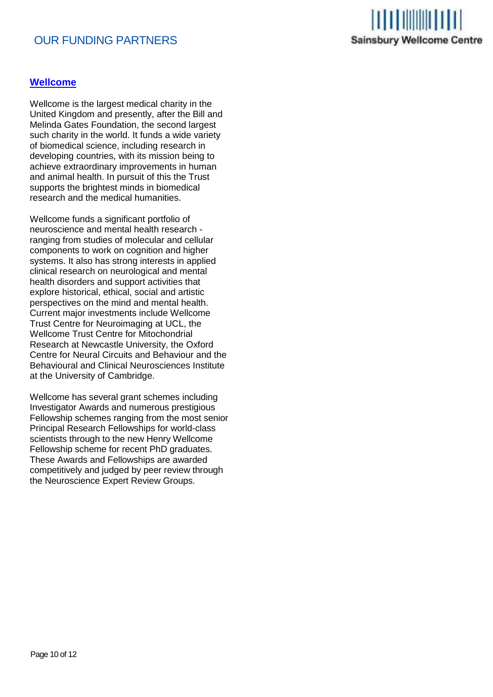# OUR FUNDING PARTNERS



# **Wellcome**

Wellcome is the largest medical charity in the United Kingdom and presently, after the Bill and Melinda Gates Foundation, the second largest such charity in the world. It funds a wide variety of biomedical science, including research in developing countries, with its mission being to achieve extraordinary improvements in human and animal health. In pursuit of this the Trust supports the brightest minds in biomedical research and the medical humanities.

Wellcome funds a significant portfolio of neuroscience and mental health research ranging from studies of molecular and cellular components to work on cognition and higher systems. It also has strong interests in applied clinical research on neurological and mental health disorders and support activities that explore historical, ethical, social and artistic perspectives on the mind and mental health. Current major investments include Wellcome Trust Centre for Neuroimaging at UCL, the Wellcome Trust Centre for Mitochondrial Research at Newcastle University, the Oxford Centre for Neural Circuits and Behaviour and the Behavioural and Clinical Neurosciences Institute at the University of Cambridge.

Wellcome has several grant schemes including Investigator Awards and numerous prestigious Fellowship schemes ranging from the most senior Principal Research Fellowships for world-class scientists through to the new Henry Wellcome Fellowship scheme for recent PhD graduates. These Awards and Fellowships are awarded competitively and judged by peer review through the Neuroscience Expert Review Groups.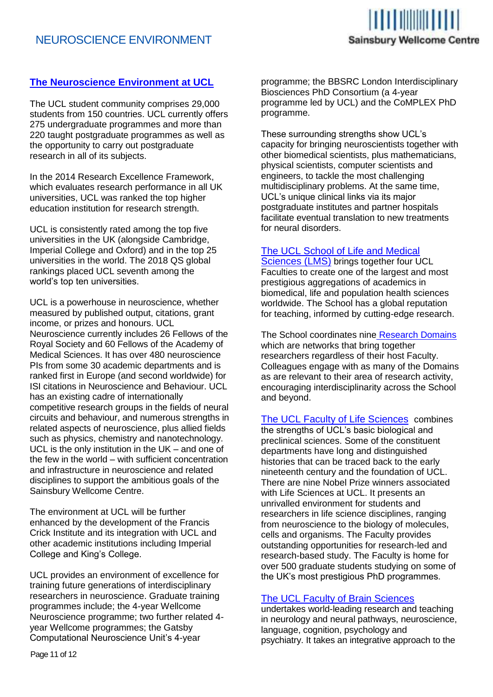

# **The Neuroscience Environment at UCL**

The UCL student community comprises 29,000 students from 150 countries. UCL currently offers 275 undergraduate programmes and more than 220 taught postgraduate programmes as well as the opportunity to carry out postgraduate research in all of its subjects.

In the 2014 Research Excellence Framework, which evaluates research performance in all UK universities, UCL was ranked the top higher education institution for research strength.

UCL is consistently rated among the top five universities in the UK (alongside Cambridge, Imperial College and Oxford) and in the top 25 universities in the world. The 2018 QS global rankings placed UCL seventh among the world's top ten universities.

UCL is a powerhouse in neuroscience, whether measured by published output, citations, grant income, or prizes and honours. UCL Neuroscience currently includes 26 Fellows of the Royal Society and 60 Fellows of the Academy of Medical Sciences. It has over 480 neuroscience PIs from some 30 academic departments and is ranked first in Europe (and second worldwide) for ISI citations in Neuroscience and Behaviour. UCL has an existing cadre of internationally competitive research groups in the fields of neural circuits and behaviour, and numerous strengths in related aspects of neuroscience, plus allied fields such as physics, chemistry and nanotechnology. UCL is the only institution in the UK – and one of the few in the world – with sufficient concentration and infrastructure in neuroscience and related disciplines to support the ambitious goals of the Sainsbury Wellcome Centre.

The environment at UCL will be further enhanced by the development of the Francis Crick Institute and its integration with UCL and other academic institutions including Imperial College and King's College.

UCL provides an environment of excellence for training future generations of interdisciplinary researchers in neuroscience. Graduate training programmes include; the 4-year Wellcome Neuroscience programme; two further related 4 year Wellcome programmes; the Gatsby Computational Neuroscience Unit's 4-year

programme; the BBSRC London Interdisciplinary Biosciences PhD Consortium (a 4-year programme led by UCL) and the CoMPLEX PhD programme.

These surrounding strengths show UCL's capacity for bringing neuroscientists together with other biomedical scientists, plus mathematicians, physical scientists, computer scientists and engineers, to tackle the most challenging multidisciplinary problems. At the same time, UCL's unique clinical links via its major postgraduate institutes and partner hospitals facilitate eventual translation to new treatments for neural disorders.

#### The UCL School of Life and Medical

Sciences (LMS) brings together four UCL Faculties to create one of the largest and most prestigious aggregations of academics in biomedical, life and population health sciences worldwide. The School has a global reputation for teaching, informed by cutting-edge research.

The School coordinates nine Research Domains which are networks that bring together researchers regardless of their host Faculty. Colleagues engage with as many of the Domains as are relevant to their area of research activity, encouraging interdisciplinarity across the School and beyond.

The UCL Faculty of Life Sciences combines the strengths of UCL's basic biological and preclinical sciences. Some of the constituent departments have long and distinguished histories that can be traced back to the early nineteenth century and the foundation of UCL. There are nine Nobel Prize winners associated with Life Sciences at UCL. It presents an unrivalled environment for students and researchers in life science disciplines, ranging from neuroscience to the biology of molecules, cells and organisms. The Faculty provides outstanding opportunities for research-led and research-based study. The Faculty is home for over 500 graduate students studying on some of the UK's most prestigious PhD programmes.

#### The UCL Faculty of Brain Sciences

undertakes world-leading research and teaching in neurology and neural pathways, neuroscience, language, cognition, psychology and psychiatry. It takes an integrative approach to the